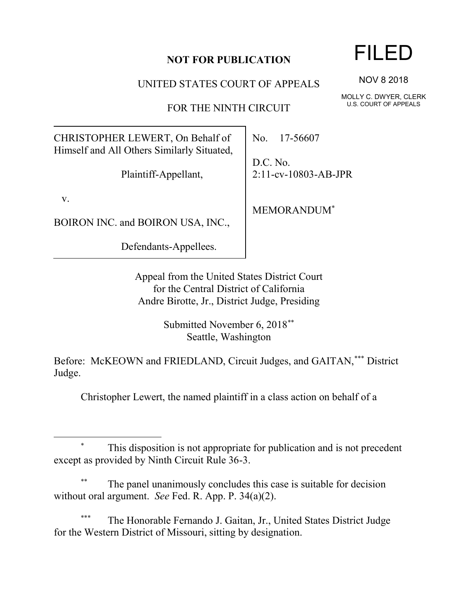## **NOT FOR PUBLICATION**

UNITED STATES COURT OF APPEALS

FOR THE NINTH CIRCUIT

CHRISTOPHER LEWERT, On Behalf of Himself and All Others Similarly Situated,

Plaintiff-Appellant,

v.

l

BOIRON INC. and BOIRON USA, INC.,

Defendants-Appellees.

No. 17-56607

D.C. No. 2:11-cv-10803-AB-JPR

MEMORANDUM\*

Appeal from the United States District Court for the Central District of California Andre Birotte, Jr., District Judge, Presiding

> Submitted November 6, 2018\*\* Seattle, Washington

Before: McKEOWN and FRIEDLAND, Circuit Judges, and GAITAN,\*\*\* District Judge.

Christopher Lewert, the named plaintiff in a class action on behalf of a

This disposition is not appropriate for publication and is not precedent except as provided by Ninth Circuit Rule 36-3.

The panel unanimously concludes this case is suitable for decision without oral argument. *See* Fed. R. App. P. 34(a)(2).

The Honorable Fernando J. Gaitan, Jr., United States District Judge for the Western District of Missouri, sitting by designation.

## FILED

NOV 8 2018

MOLLY C. DWYER, CLERK U.S. COURT OF APPEALS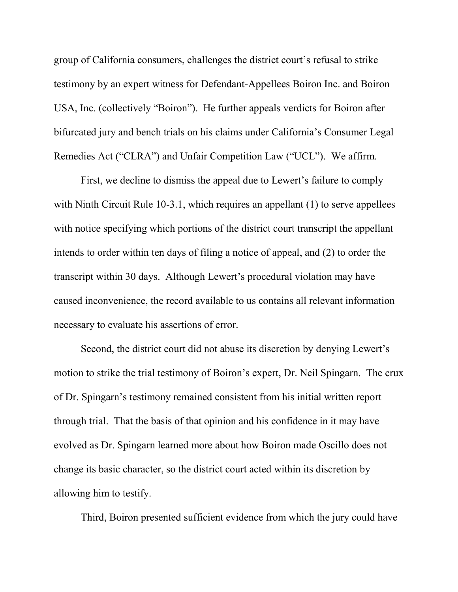group of California consumers, challenges the district court's refusal to strike testimony by an expert witness for Defendant-Appellees Boiron Inc. and Boiron USA, Inc. (collectively "Boiron"). He further appeals verdicts for Boiron after bifurcated jury and bench trials on his claims under California's Consumer Legal Remedies Act ("CLRA") and Unfair Competition Law ("UCL"). We affirm.

First, we decline to dismiss the appeal due to Lewert's failure to comply with Ninth Circuit Rule 10-3.1, which requires an appellant (1) to serve appellees with notice specifying which portions of the district court transcript the appellant intends to order within ten days of filing a notice of appeal, and (2) to order the transcript within 30 days. Although Lewert's procedural violation may have caused inconvenience, the record available to us contains all relevant information necessary to evaluate his assertions of error.

Second, the district court did not abuse its discretion by denying Lewert's motion to strike the trial testimony of Boiron's expert, Dr. Neil Spingarn. The crux of Dr. Spingarn's testimony remained consistent from his initial written report through trial. That the basis of that opinion and his confidence in it may have evolved as Dr. Spingarn learned more about how Boiron made Oscillo does not change its basic character, so the district court acted within its discretion by allowing him to testify.

Third, Boiron presented sufficient evidence from which the jury could have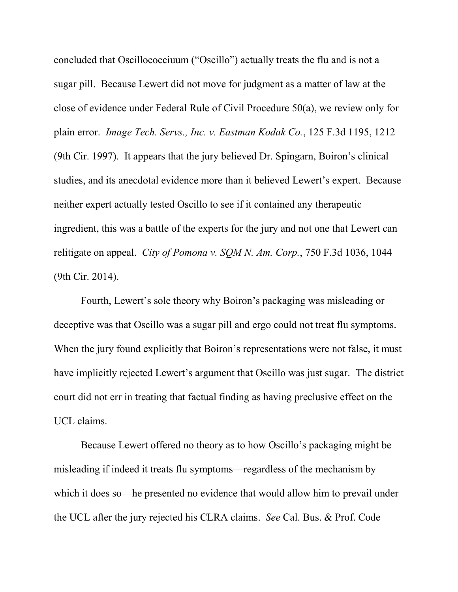concluded that Oscillococciuum ("Oscillo") actually treats the flu and is not a sugar pill. Because Lewert did not move for judgment as a matter of law at the close of evidence under Federal Rule of Civil Procedure 50(a), we review only for plain error. *Image Tech. Servs., Inc. v. Eastman Kodak Co.*, 125 F.3d 1195, 1212 (9th Cir. 1997). It appears that the jury believed Dr. Spingarn, Boiron's clinical studies, and its anecdotal evidence more than it believed Lewert's expert. Because neither expert actually tested Oscillo to see if it contained any therapeutic ingredient, this was a battle of the experts for the jury and not one that Lewert can relitigate on appeal. *City of Pomona v. SQM N. Am. Corp.*, 750 F.3d 1036, 1044 (9th Cir. 2014).

Fourth, Lewert's sole theory why Boiron's packaging was misleading or deceptive was that Oscillo was a sugar pill and ergo could not treat flu symptoms. When the jury found explicitly that Boiron's representations were not false, it must have implicitly rejected Lewert's argument that Oscillo was just sugar. The district court did not err in treating that factual finding as having preclusive effect on the UCL claims.

Because Lewert offered no theory as to how Oscillo's packaging might be misleading if indeed it treats flu symptoms—regardless of the mechanism by which it does so—he presented no evidence that would allow him to prevail under the UCL after the jury rejected his CLRA claims. *See* Cal. Bus. & Prof. Code